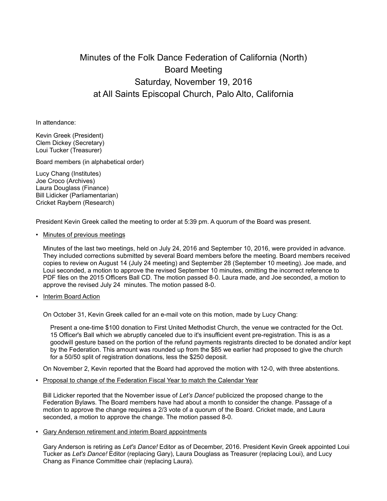# Minutes of the Folk Dance Federation of California (North) Board Meeting Saturday, November 19, 2016 at All Saints Episcopal Church, Palo Alto, California

In attendance:

Kevin Greek (President) Clem Dickey (Secretary) Loui Tucker (Treasurer)

Board members (in alphabetical order)

Lucy Chang (Institutes) Joe Croco (Archives) Laura Douglass (Finance) Bill Lidicker (Parliamentarian) Cricket Raybern (Research)

President Kevin Greek called the meeting to order at 5:39 pm. A quorum of the Board was present.

## • Minutes of previous meetings

Minutes of the last two meetings, held on July 24, 2016 and September 10, 2016, were provided in advance. They included corrections submitted by several Board members before the meeting. Board members received copies to review on August 14 (July 24 meeting) and September 28 (September 10 meeting). Joe made, and Loui seconded, a motion to approve the revised September 10 minutes, omitting the incorrect reference to PDF files on the 2015 Officers Ball CD. The motion passed 8-0. Laura made, and Joe seconded, a motion to approve the revised July 24 minutes. The motion passed 8-0.

## • Interim Board Action

On October 31, Kevin Greek called for an e-mail vote on this motion, made by Lucy Chang:

Present a one-time \$100 donation to First United Methodist Church, the venue we contracted for the Oct. 15 Officer's Ball which we abruptly canceled due to it's insufficient event pre-registration. This is as a goodwill gesture based on the portion of the refund payments registrants directed to be donated and/or kept by the Federation. This amount was rounded up from the \$85 we earlier had proposed to give the church for a 50/50 split of registration donations, less the \$250 deposit.

On November 2, Kevin reported that the Board had approved the motion with 12-0, with three abstentions.

• Proposal to change of the Federation Fiscal Year to match the Calendar Year

Bill Lidicker reported that the November issue of *Let's Dance!* publicized the proposed change to the Federation Bylaws. The Board members have had about a month to consider the change. Passage of a motion to approve the change requires a 2/3 vote of a quorum of the Board. Cricket made, and Laura seconded, a motion to approve the change. The motion passed 8-0.

## • Gary Anderson retirement and interim Board appointments

Gary Anderson is retiring as *Let's Dance!* Editor as of December, 2016. President Kevin Greek appointed Loui Tucker as *Let's Dance!* Editor (replacing Gary), Laura Douglass as Treasurer (replacing Loui), and Lucy Chang as Finance Committee chair (replacing Laura).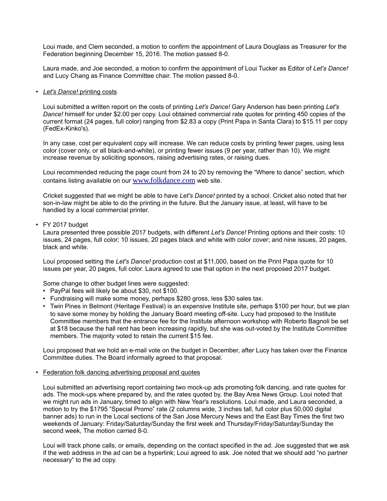Loui made, and Clem seconded, a motion to confirm the appointment of Laura Douglass as Treasurer for the Federation beginning December 15, 2016. The motion passed 8-0.

Laura made, and Joe seconded, a motion to confirm the appointment of Loui Tucker as Editor of *Let's Dance!* and Lucy Chang as Finance Committee chair. The motion passed 8-0.

#### • *Let's Dance!* printing costs

Loui submitted a written report on the costs of printing *Let's Dance!* Gary Anderson has been printing *Let's Dance!* himself for under \$2.00 per copy. Loui obtained commercial rate quotes for printing 450 copies of the current format (24 pages, full color) ranging from \$2.83 a copy (Print Papa in Santa Clara) to \$15.11 per copy (FedEx-Kinko's).

In any case, cost per equivalent copy will increase. We can reduce costs by printing fewer pages, using less color (cover only, or all black-and-white), or printing fewer issues (9 per year, rather than 10). We might increase revenue by soliciting sponsors, raising advertising rates, or raising dues.

Loui recommended reducing the page count from 24 to 20 by removing the "Where to dance" section, which contains listing available on our www.folkdance.com web site.

Cricket suggested that we might be able to have *Let's Dance!* printed by a school. Cricket also noted that her son-in-law might be able to do the printing in the future. But the January issue, at least, will have to be handled by a local commercial printer.

## • FY 2017 budget

Laura presented three possible 2017 budgets, with different *Let's Dance!* Printing options and their costs: 10 issues, 24 pages, full color; 10 issues, 20 pages black and white with color cover; and nine issues, 20 pages, black and white.

Loui proposed setting the *Let's Dance!* production cost at \$11,000, based on the Print Papa quote for 10 issues per year, 20 pages, full color. Laura agreed to use that option in the next proposed 2017 budget.

Some change to other budget lines were suggested:

- PayPal fees will likely be about \$30, not \$100.
- Fundraising will make some money, perhaps \$280 gross, less \$30 sales tax.
- Twin Pines in Belmont (Heritage Festival) is an expensive Institute site, perhaps \$100 per hour, but we plan to save some money by holding the January Board meeting off-site. Lucy had proposed to the Institute Committee members that the entrance fee for the Institute afternoon workshop with Roberto Bagnoli be set at \$18 because the hall rent has been increasing rapidly, but she was out-voted by the Institute Committee members. The majority voted to retain the current \$15 fee.

Loui proposed that we hold an e-mail vote on the budget in December, after Lucy has taken over the Finance Committee duties. The Board informally agreed to that proposal.

## • Federation folk dancing advertising proposal and quotes

Loui submitted an advertising report containing two mock-up ads promoting folk dancing, and rate quotes for ads. The mock-ups where prepared by, and the rates quoted by, the Bay Area News Group. Loui noted that we might run ads in January, timed to align with New Year's resolutions. Loui made, and Laura seconded, a motion to try the \$1795 "Special Promo" rate (2 columns wide, 3 inches tall, full color plus 50,000 digital banner ads) to run in the Local sections of the San Jose Mercury News and the East Bay Times the first two weekends of January: Friday/Saturday/Sunday the first week and Thursday/Friday/Saturday/Sunday the second week, The motion carried 8-0.

Loui will track phone calls, or emails, depending on the contact specified in the ad. Joe suggested that we ask if the web address in the ad can be a hyperlink; Loui agreed to ask. Joe noted that we should add "no partner necessary" to the ad copy.